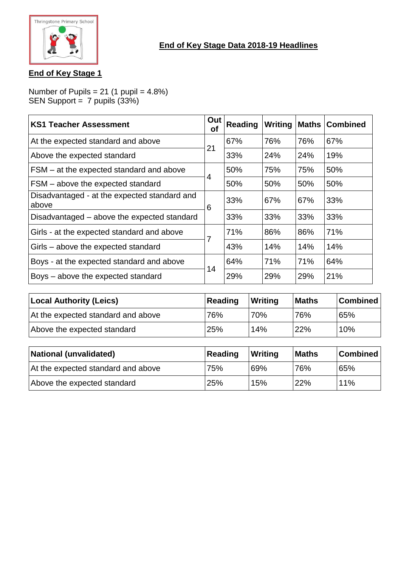

# **End of Key Stage 1**

Number of Pupils = 21 (1 pupil =  $4.8\%$ ) SEN Support = 7 pupils (33%)

| <b>KS1 Teacher Assessment</b>                         | Out<br><b>of</b> | <b>Reading</b> | Writing | Maths | <b>Combined</b> |
|-------------------------------------------------------|------------------|----------------|---------|-------|-----------------|
| At the expected standard and above                    |                  | 67%            | 76%     | 76%   | 67%             |
| Above the expected standard                           | 21               | 33%            | 24%     | 24%   | 19%             |
| FSM – at the expected standard and above              |                  | 50%            | 75%     | 75%   | 50%             |
| FSM - above the expected standard                     | 4                | 50%            | 50%     | 50%   | 50%             |
| Disadvantaged - at the expected standard and<br>above | 6                | 33%            | 67%     | 67%   | 33%             |
| Disadvantaged – above the expected standard           |                  | 33%            | 33%     | 33%   | 33%             |
| Girls - at the expected standard and above            |                  | 71%            | 86%     | 86%   | 71%             |
| Girls – above the expected standard                   |                  | 43%            | 14%     | 14%   | 14%             |
| Boys - at the expected standard and above             | 14               | 64%            | 71%     | 71%   | 64%             |
| Boys - above the expected standard                    |                  | 29%            | 29%     | 29%   | 21%             |

| <b>Local Authority (Leics)</b>     | Reading | <b>Writing</b> | <b>Maths</b> | <b>Combined</b> |
|------------------------------------|---------|----------------|--------------|-----------------|
| At the expected standard and above | 76%     | 70%            | 76%          | 65%             |
| Above the expected standard        | 25%     | 14%            | <b>22%</b>   | 10%             |

| National (unvalidated)             | Reading | <b>Writing</b> | <b>Maths</b> | <b>Combined</b> |
|------------------------------------|---------|----------------|--------------|-----------------|
| At the expected standard and above | 75%     | 69%            | 76%          | 65%             |
| Above the expected standard        | 25%     | 15%            | 22%          | 11%             |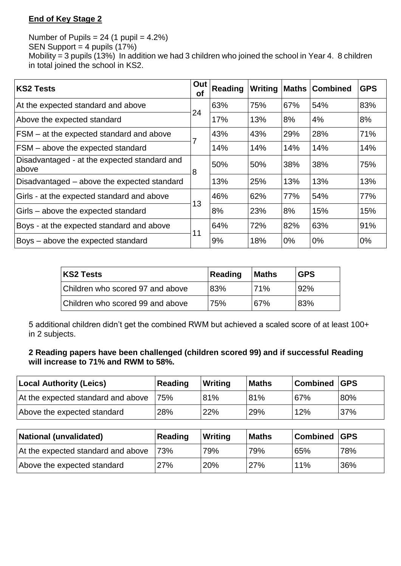# **End of Key Stage 2**

Number of Pupils =  $24$  (1 pupil =  $4.2\%$ ) SEN Support =  $4$  pupils  $(17%)$ Mobility = 3 pupils (13%) In addition we had 3 children who joined the school in Year 4. 8 children in total joined the school in KS2.

| <b>KS2 Tests</b>                                      | Out<br><b>of</b> | Reading | Writing | <b>Maths</b> | <b>Combined</b> | <b>GPS</b> |
|-------------------------------------------------------|------------------|---------|---------|--------------|-----------------|------------|
| At the expected standard and above                    | 24               | 63%     | 75%     | 67%          | 54%             | 83%        |
| Above the expected standard                           |                  | 17%     | 13%     | 8%           | 4%              | 8%         |
| FSM – at the expected standard and above              |                  | 43%     | 43%     | 29%          | 28%             | 71%        |
| FSM - above the expected standard                     |                  | 14%     | 14%     | 14%          | 14%             | 14%        |
| Disadvantaged - at the expected standard and<br>above | 8                | 50%     | 50%     | 38%          | 38%             | 75%        |
| Disadvantaged – above the expected standard           |                  | 13%     | 25%     | 13%          | 13%             | 13%        |
| Girls - at the expected standard and above            |                  | 46%     | 62%     | 77%          | 54%             | 77%        |
| Girls - above the expected standard                   | 13               | 8%      | 23%     | 8%           | 15%             | 15%        |
| Boys - at the expected standard and above             |                  | 64%     | 72%     | 82%          | 63%             | 91%        |
| Boys - above the expected standard                    | 11               | 9%      | 18%     | 0%           | 0%              | 0%         |

| <b>KS2 Tests</b>                 | Reading | <b>Maths</b> | <b>GPS</b> |
|----------------------------------|---------|--------------|------------|
| Children who scored 97 and above | 83%     | <b>71%</b>   | <u>92%</u> |
| Children who scored 99 and above | 75%     | 67%          | 83%        |

5 additional children didn't get the combined RWM but achieved a scaled score of at least 100+ in 2 subjects.

#### **2 Reading papers have been challenged (children scored 99) and if successful Reading will increase to 71% and RWM to 58%.**

| Local Authority (Leics)            | Reading | <b>Writing</b> | <b>Maths</b> | <b>Combined GPS</b> |     |
|------------------------------------|---------|----------------|--------------|---------------------|-----|
| At the expected standard and above | 75%     | 81%            | 81%          | 67%                 | 80% |
| Above the expected standard        | 28%     | <b>22%</b>     | 29%          | 12%                 | 37% |

| National (unvalidated)             | Reading | Writing | <b>Maths</b> | <b>Combined GPS</b> |     |
|------------------------------------|---------|---------|--------------|---------------------|-----|
| At the expected standard and above | 73%     | 79%     | 79%          | 65%                 | 78% |
| Above the expected standard        | 27%     | 20%     | 27%          | 11%                 | 36% |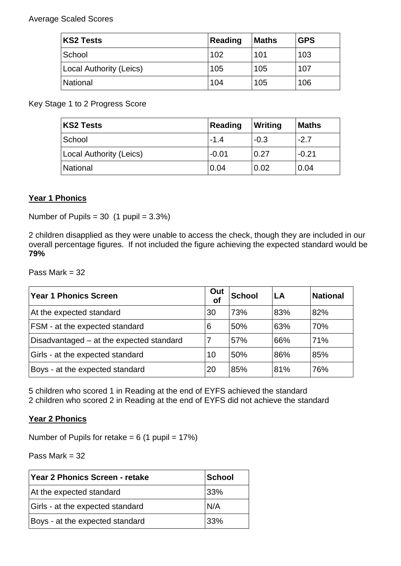#### Average Scaled Scores

| <b>KS2 Tests</b>        | Reading | <b>Maths</b> | <b>GPS</b> |
|-------------------------|---------|--------------|------------|
| School                  | 102     | 101          | 103        |
| Local Authority (Leics) | 105     | 105          | 107        |
| National                | 104     | 105          | 106        |

Key Stage 1 to 2 Progress Score

| <b>KS2 Tests</b>        | Reading | Writing | <b>Maths</b> |
|-------------------------|---------|---------|--------------|
| School                  | $-1.4$  | $-0.3$  | $-2.7$       |
| Local Authority (Leics) | $-0.01$ | 0.27    | $-0.21$      |
| National                | 0.04    | 0.02    | 0.04         |

## **Year 1 Phonics**

Number of Pupils =  $30$  (1 pupil =  $3.3\%$ )

2 children disapplied as they were unable to access the check, though they are included in our overall percentage figures. If not included the figure achieving the expected standard would be **79%**

Pass Mark = 32

| <b>Year 1 Phonics Screen</b>             | Out<br>of | <b>School</b> | LA  | <b>National</b> |
|------------------------------------------|-----------|---------------|-----|-----------------|
| At the expected standard                 | 30        | 73%           | 83% | 82%             |
| FSM - at the expected standard           | 6         | 50%           | 63% | 70%             |
| Disadvantaged – at the expected standard |           | 57%           | 66% | 71%             |
| Girls - at the expected standard         | 10        | 50%           | 86% | 85%             |
| Boys - at the expected standard          | 20        | 85%           | 81% | 76%             |

5 children who scored 1 in Reading at the end of EYFS achieved the standard 2 children who scored 2 in Reading at the end of EYFS did not achieve the standard

#### **Year 2 Phonics**

Number of Pupils for retake  $= 6$  (1 pupil  $= 17\%$ )

Pass Mark = 32

| <b>Year 2 Phonics Screen - retake</b> | School |
|---------------------------------------|--------|
| At the expected standard              | 33%    |
| Girls - at the expected standard      | N/A    |
| Boys - at the expected standard       | 33%    |